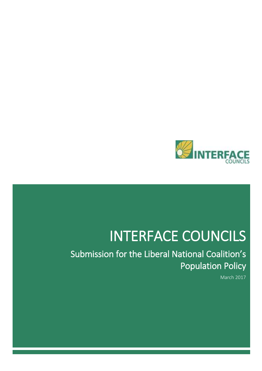

# INTERFACE COUNCILS

Submission for the Liberal National Coalition's Population Policy

March 2017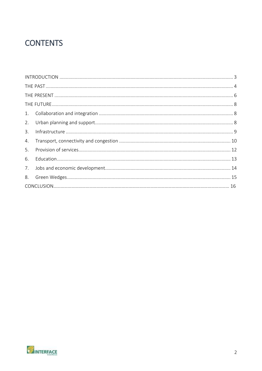### **CONTENTS**

| 3. |  |  |  |  |  |
|----|--|--|--|--|--|
| 4. |  |  |  |  |  |
| 5. |  |  |  |  |  |
| 6. |  |  |  |  |  |
|    |  |  |  |  |  |
|    |  |  |  |  |  |
|    |  |  |  |  |  |

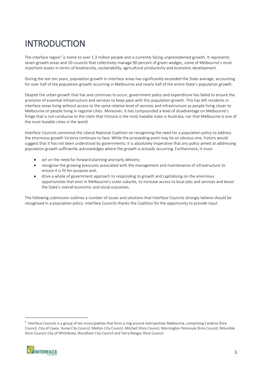# <span id="page-2-0"></span>INTRODUCTION

The interface region<sup>1</sup> is home to over 1.3 million people and is currently facing unprecedented growth. It represents seven growth areas and 10 councils that collectively manage 90 percent of green wedges, some of Melbourne's most important assets in terms of biodiversity, sustainability, agricultural productivity and economic development.

During the last ten years, population growth in interface areas has significantly exceeded the State average, accounting for over half of the population growth occurring in Melbourne and nearly half of the entire State's population growth.

Despite the urban growth that has and continues to occur, government policy and expenditure has failed to ensure the provision of essential infrastructure and services to keep pace with this population growth. This has left residents in interface areas living without access to the same relative level of services and infrastructure as people living closer to Melbourne or people living in regional cities. Moreover, it has compounded a level of disadvantage on Melbourne's fringe that is not conducive to the claim that Victoria is the most liveable state in Australia, nor that Melbourne is one of the most liveable cities in the world.

Interface Councils commend the Liberal National Coalition on recognising the need for a population policy to address the enormous growth Victoria continues to face. While the proceeding point may be an obvious one, history would suggest that it has not been understood by governments; it is absolutely imperative that any policy aimed at addressing population growth sufficiently acknowledges where the growth is *actually* occurring. Furthermore, it must:

- act on the need for forward planning and early delivery;
- recognise the growing pressures associated with the management and maintenance of infrastructure to ensure it is fit-for-purpose and;
- drive a whole of government approach to responding to growth and capitalising on the enormous opportunities that exist in Melbourne's outer suburbs, to increase access to local jobs and services and boost the State's overall economic and social outcomes.

The following submission outlines a number of issues and solutions that Interface Councils strongly believe should be recognised in a population policy. Interface Councils thanks the Coalition for the opportunity to provide input.

 $<sup>1</sup>$  Interface Councils is a group of ten municipalities that form a ring around metropolitan Melbourne, comprising Cardinia Shire</sup> Council, City of Casey, Hume City Council, Melton City Council, Mitchell Shire Council, Mornington Peninsula Shire Council, Nillumbik Shire Council, City of Whittlesea, Wyndham City Council and Yarra Ranges Shire Council.

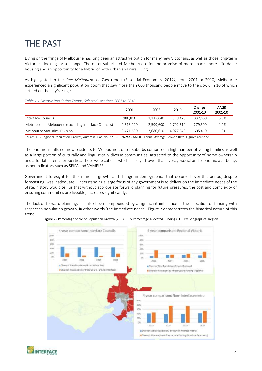## <span id="page-3-0"></span>THE PAST

Living on the fringe of Melbourne has long been an attractive option for many new Victorians, as well as those long-term Victorians looking for a change. The outer suburbs of Melbourne offer the promise of more space, more affordable housing and an opportunity for a hybrid of both urban and rural living.

As highlighted in the *One Melbourne or Two* report (Essential Economics, 2012*),* from 2001 to 2010, Melbourne experienced a significant population boom that saw more than 600 thousand people move to the city, 6 in 10 of which settled on the city's fringe.

*Table 1.1:Historic Population Trends, Selected Locations 2001 to 2010*

|                                                                                                        | 2001      | 2005      | 2010      | Change<br>2001-10 | <b>AAGR</b><br>2001-10 |
|--------------------------------------------------------------------------------------------------------|-----------|-----------|-----------|-------------------|------------------------|
| Interface Councils                                                                                     | 986.810   | 1.112.640 | 1.319.470 | +332.660          | $+3.3%$                |
| Metropolitan Melbourne (excluding Interface Councils)                                                  | 2.513.220 | 2.599.600 | 2.792.610 | +279.390          | $+1.2%$                |
| Melbourne Statistical Division                                                                         | 3.471.630 | 3.680.610 | 4.077.040 | $+605.410$        | $+1.8%$                |
| المستحقق والمعاملة والمتحدث والمتار المارين والمتحدث والمستحدث<br><b>STATE OF BUILDING</b><br>$\cdots$ |           |           |           |                   |                        |

Source:ABS Regional Population Growth, Australia, Cat. No. 3218.0 \*Note - AAGR - Annual Average Growth Rate. Figures rounded

The enormous influx of new residents to Melbourne's outer suburbs comprised a high number of young families as well as a large portion of culturally and linguistically diverse communities, attracted to the opportunity of home ownership and affordable rental properties. These were cohorts which displayed lower than average social and economic well-being, as per indicators such as SEIFA and VAMPIRE.

Government foresight for the immense growth and change in demographics that occurred over this period, despite forecasting, was inadequate. Understanding a large focus of any government is to deliver on the immediate needs of the State, history would tell us that without appropriate forward planning for future pressures, the cost and complexity of ensuring communities are liveable, increases significantly.

The lack of forward planning, has also been compounded by a significant imbalance in the allocation of funding with respect to population growth, in other words 'the immediate needs'. Figure 2 demonstrates the historical nature of this trend.



**Figure 2 -** Percentage Share of Population Growth (2013-16) v Percentage Allocated Funding (TEI), By Geographical Region

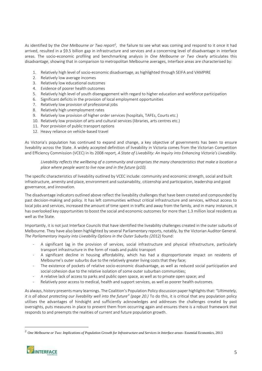As identified by the *One Melbourne or Two report<sup>2</sup>*, the failure to see what was coming and respond to it once it had arrived, resulted in a \$9.5 billion gap in infrastructure and services and a concerning level of disadvantage in interface areas. The socio-economic profiling and benchmarking analysis in *One Melbourne or Two* clearly articulates this disadvantage, showing that in comparison to metropolitan Melbourne averages, Interface areas are characterised by:

- 1. Relatively high level of socio-economic disadvantage, as highlighted through SEIFA and VAMPIRE
- 2. Relatively low average incomes
- 3. Relatively low educational outcomes
- 4. Evidence of poorer health outcomes
- 5. Relatively high level of youth disengagement with regard to higher education and workforce participation
- 6. Significant deficits in the provision of local employment opportunities
- 7. Relatively low provision of professional jobs
- 8. Relatively high unemployment rates
- 9. Relatively low provision of higher order services (hospitals, TAFEs, Courts etc.)
- 10. Relatively low provision of arts and cultural services (libraries, arts centres etc.)
- 11. Poor provision of public transport options
- 12. Heavy reliance on vehicle-based travel

As Victoria's population has continued to expand and change, a key objective of governments has been to ensure liveability across the State. A widely accepted definition of liveability in Victoria comes from the Victorian Competition and Efficiency Commission (VCEC) in its 2008 report*, A State of Liveability: An Inquiry into Enhancing Victoria's Liveability*.

*Liveability reflects the wellbeing of a community and comprises the many characteristics that make a location a place where people want to live now and in the future (p10).* 

The specific characteristics of liveability outlined by VCEC include: community and economic strength, social and built infrastructure, amenity and place, environment and sustainability, citizenship and participation, leadership and good governance, and innovation.

The disadvantage indicators outlined above reflect the liveability challenges that have been created and compounded by past decision-making and policy. It has left communities without critical infrastructure and services, without access to local jobs and services, increased the amount of time spent in traffic and away from the family, and in many instances, it has overlooked key opportunities to boost the social and economic outcomes for more than 1.3 million local residents as well as the State.

Importantly, it is not just Interface Councils that have identified the liveability challenges created in the outer suburbs of Melbourne. They have also been highlighted by several Parliamentary reports, notably, by the Victorian Auditor General. *The Parliamentary Inquiry into Liveability Options in the Outer Suburbs (2012)* found:

- A significant lag in the provision of services, social infrastructure and physical infrastructure, particularly transport infrastructure in the form of roads and public transport
- A significant decline in housing affordability, which has had a disproportionate impact on residents of Melbourne's outer suburbs due to the relatively greater living costs that they face;
- The existence of pockets of relative socio-economic disadvantage, as well as reduced social participation and social cohesion due to the relative isolation of some outer suburban communities;
- A relative lack of access to parks and public open space, as well as to private open space; and
- Relatively poor access to medical, health and support services, as well as poorer health outcomes.

As always, history presents many learnings. The Coalition's Population Policy discussion paper highlights that: *"Ultimately, it is all about protecting our liveability well into the future" (page 20.)* To do this, it is critical that any population policy utilises the advantages of hindsight and sufficiently acknowledges and addresses the challenges created by past oversights, puts measures in place to prevent them from occurring again and ensures there is a robust framework that responds to and preempts the realities of current and future population growth.

<sup>2</sup> *One Melbourne or Two: Implications of Population Growth for Infrastructure and Services in Interface areas-* Essential Economics, 2013

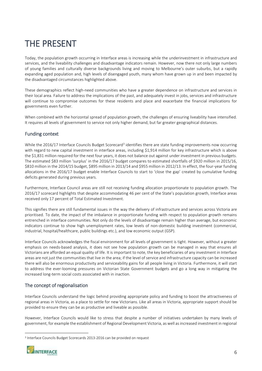## <span id="page-5-0"></span>THE PRESENT

Today, the population growth occurring in Interface areas is increasing while the underinvestment in infrastructure and services, and the liveability challenges and disadvantage indicators remain. However, now there not only large numbers of young families and culturally diverse backgrounds living and moving to Melbourne's outer suburbs, but a rapidly expanding aged population and, high levels of disengaged youth, many whom have grown up in and been impacted by the disadvantaged circumstances highlighted above.

These demographics reflect high-need communities who have a greater dependence on infrastructure and services in their local area. Failure to address the implications of the past, and adequately invest in jobs, services and infrastructure will continue to compromise outcomes for these residents and place and exacerbate the financial implications for governments even further.

When combined with the horizontal spread of population growth, the challenges of ensuring liveability have intensified. It requires all levels of government to service not only higher demand, but far greater geographical distances.

#### Funding context

While the 2016/17 Interface Councils Budget Scorecard<sup>3</sup> identifies there are state funding improvements now occurring with regard to new capital investment in interface areas, including \$1,914 million for key infrastructure which is above the \$1,831 million required for the next four years, it does not balance out against under investment in previous budgets. The estimated \$83 million 'surplus' in the 2016/17 budget compares to estimated shortfalls of \$920 million in 2015/16, \$810 million in the 2014/15 budget, \$895 million in 2013/14 and \$955 million in 2012/13. In effect, the four-year funding allocations in the 2016/17 budget enable Interface Councils to start to 'close the gap' created by cumulative funding deficits generated during previous years.

Furthermore, Interface Council areas are still not receiving funding allocation proportionate to population growth. The 2016/17 scorecard highlights that despite accommodating 46 per cent of the State's population growth, Interface areas received only 17 percent of Total Estimated Investment.

This signifies there are still fundamental issues in the way the delivery of infrastructure and services across Victoria are prioritised. To date, the impact of the imbalance in proportionate funding with respect to population growth remains entrenched in interface communities. Not only do the levels of disadvantage remain higher than average, but economic indicators continue to show high unemployment rates, low levels of non-domestic building investment (commercial, industrial, hospital/healthcare, public buildings etc.), and low economic output (GSP).

Interface Councils acknowledges the fiscal environment for all levels of government is tight. However, without a greater emphasis on needs-based analysis, it does not see how population growth can be managed in way that ensures all Victorians are afforded an equal quality of life. It is important to note, the key beneficiaries of any investment in Interface areas are not just the communities that live in the area; if the level of service and infrastructure capacity can be increased there will also be enormous productivity and serviceability gains for all people living in Victoria. Furthermore, it will start to address the ever-looming pressures on Victorian State Government budgets and go a long way in mitigating the increased long-term social costs associated with in inaction.

#### The concept of regionalisation

Interface Councils understand the logic behind providing appropriate policy and funding to boost the attractiveness of regional areas in Victoria, as a place to settle for new Victorians. Like all areas in Victoria, appropriate support should be provided to ensure they can be as productive and liveable as possible.

However, Interface Councils would like to stress that despite a number of initiatives undertaken by many levels of government, for example the establishment of Regional Development Victoria, as well as increased investment in regional

<sup>&</sup>lt;sup>3</sup> Interface Councils Budget Scorecards 2013-2016 can be provided on request

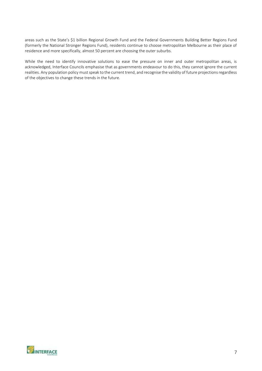areas such as the State's \$1 billion Regional Growth Fund and the Federal Governments Building Better Regions Fund (formerly the National Stronger Regions Fund), residents continue to choose metropolitan Melbourne as their place of residence and more specifically, almost 50 percent are choosing the outer suburbs.

While the need to identify innovative solutions to ease the pressure on inner and outer metropolitan areas, is acknowledged, Interface Councils emphasise that as governments endeavour to do this, they cannot ignore the current realities. Any population policy must speak to the current trend, and recognise the validity of future projections regardless of the objectives to change these trends in the future.

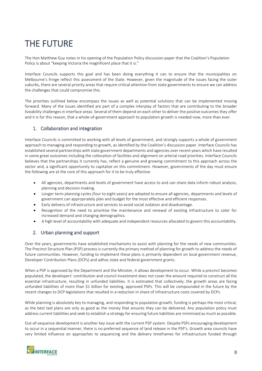## <span id="page-7-0"></span>THE FUTURE

The Hon Matthew Guy notes in his opening of the Population Policy discussion paper that the Coalition's Population Policy is about "keeping Victoria the magnificent place that it is."

Interface Councils supports this goal and has been doing everything it can to ensure that the municipalities on Melbourne's fringe reflect this assessment of the State. However, given the magnitude of the issues facing the outer suburbs, there are several priority areas that require critical attention from state governments to ensure we can address the challenges that could compromise this.

The priorities outlined below encompass the issues as well as potential solutions that can be implemented moving forward. Many of the issues identified are part of a complex interplay of factors that are contributing to the broader liveability challenges in interface areas. Several of them depend on each other to deliver the positive outcomes they offer and it is for this reason, that a whole-of-government approach to population growth is needed now, more than ever.

#### <span id="page-7-1"></span>1. Collaboration and integration

Interface Councils is committed to working with all levels of government, and strongly supports a whole of government approach to managing and responding to growth, as identified by the Coalition's discussion paper. Interface Councils has established several partnerships with state government departments and agencies over recent years which have resulted in some great outcomes including the collocation of facilities and alignment on arterial road priorities. Interface Councils believes that the partnerships it currently has, reflect a genuine and growing commitment to this approach across the sector and, a significant opportunity to capitalise on this commitment. However, governments of the day must ensure the following are at the core of this approach for it to be truly effective:

- All agencies, departments and levels of government have access to and can share data inform robust analysis, planning and decision-making.
- Longer-term planning cycles (four to eight years) are adopted to ensure all agencies, departments and levels of government can appropriately plan and budget for the most effective and efficient responses.
- Early delivery of infrastructure and services to avoid social isolation and disadvantage.
- Recognition of the need to prioritise the maintenance and renewal of existing infrastructure to cater for increased demand and changing demographics.
- A high level of accountability with adequate and independent resources allocated to govern this accountability.

#### <span id="page-7-2"></span>2. Urban planning and support

Over the years, governments have established mechanisms to assist with planning for the needs of new communities. The Precinct Structure Plan (PSP) process is currently the primary method of planning for growth to address the needs of future communities. However, funding to implement these plans is primarily dependent on local government revenue, Developer Contribution Plans (DCPs) and adhoc state and federal government grants.

When a PSP is approved by the Department and the Minister, it allows development to occur. While a precinct becomes populated, the developers' contribution and council investment does not cover the amount required to construct all the essential infrastructure, resulting in unfunded liabilities. It is estimated that collectively; the growth areas are facing unfunded liabilities of more than \$1 billion for existing, approved PSPs. This will be compounded in the future by the recent changes to DCP legislations that resulted in a reduction in share of infrastructure costs covered by DCPs.

While planning is absolutely key to managing, and responding to population growth, funding is perhaps the most critical, as the best laid plans are only as good as the money that ensures they can be delivered. Any population policy must address current liabilities and seek to establish a strategy for ensuring future liabilities are minimised as much as possible.

Out-of-sequence development is another key issue with the current PSP system. Despite PSPs encouraging development to occur in a sequential manner, there is no preferred sequence of land release in the PSP's. Growth area councils have very limited influence on approaches to sequencing and the delivery timeframes for infrastructure funded through

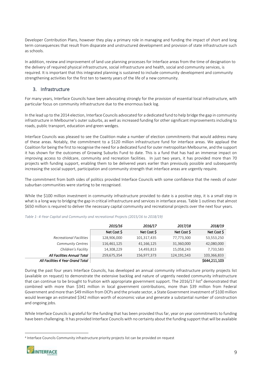Developer Contribution Plans, however they play a primary role in managing and funding the impact of short and long term consequences that result from disparate and unstructured development and provision of state infrastructure such as schools.

In addition, review and improvement of land use planning processes for Interface areas from the time of designation to the delivery of required physical infrastructure, social infrastructure and health, social and community services, is required. It is important that this integrated planning is sustained to include community development and community strengthening activities for the first ten to twenty years of the life of a new community.

#### <span id="page-8-0"></span>3. Infrastructure

For many years, Interface Councils have been advocating strongly for the provision of essential local infrastructure, with particular focus on community infrastructure due to the enormous back log.

In the lead up to the 2014 election, Interface Councils advocated for a dedicated fund to help bridge the gap in community infrastructure in Melbourne's outer suburbs, as well as increased funding for other significant improvements including to roads, public transport, education and green wedges.

Interface Councils was pleased to see the Coalition make a number of election commitments that would address many of these areas. Notably, the commitment to a \$120 million infrastructure fund for interface areas. We applaud the Coalition for being the first to recognise the need for a dedicated fund for outer metropolitan Melbourne, and the support it has shown for the outcomes of Growing Suburbs Fund to date. This is a fund that has had an immense impact on improving access to childcare, community and recreation facilities. In just two years, it has provided more than 70 projects with funding support, enabling them to be delivered years earlier than previously possible and subsequently increasing the social support, participation and community strength that interface areas are urgently require.

The commitment from both sides of politics provided Interface Councils with some confidence that the needs of outer suburban communities were starting to be recognised.

While the \$100 million investment in community infrastructure provided to date is a positive step, it is a small step in what is a long way to bridging the gap in critical infrastructure and services in interface areas. Table 1 outlines that almost \$650 million is required to deliver the necessary capital community and recreational projects over the next four years.

|                                   | 2015/16     | 2016/17     | 2017/18     | 2018/19       |
|-----------------------------------|-------------|-------------|-------------|---------------|
|                                   | Net Cost \$ | Net Cost \$ | Net Cost \$ | Net Cost \$   |
| <b>Recreational Facilities</b>    | 128,906,000 | 101,317,435 | 77,773,300  | 53,553,250    |
| <b>Community Centres</b>          | 116,461,125 | 41,166,125  | 31,360,000  | 42,080,000    |
| Children's Facility               | 14,308,229  | 14,493,813  | 15,058,243  | 7,733,583     |
| All Facilities Annual Total       | 259,675,354 | 156,977,373 | 124,191,543 | 103,366,833   |
| All Facilities 4 Year Grand Total |             |             |             | \$644,211,103 |

#### *Table 1- 4-Year Capital and Community and recreational Projects (2015/16 to 2018/19)*

During the past four years Interface Councils, has developed an annual community infrastructure priority projects list (available on request) to demonstrate the extensive backlog and nature of urgently needed community infrastructure that can continue to be brought to fruition with appropriate government support. The 2016/17 list<sup>4</sup> demonstrated that combined with more than \$341 million in local government contributions, more than \$39 million from Federal Government and more than \$49 million from DCPs and the private sector, a State Government investment of \$100 million would leverage an estimated \$342 million worth of economic value and generate a substantial number of construction and ongoing jobs.

While Interface Councils is grateful for the funding that has been provided thus far, year on year commitments to funding have been challenging. It has provided Interface Councils with no certainty about the funding support that will be available

<sup>4</sup> Interface Councils Community infrastructure priority projects list can be provided on request

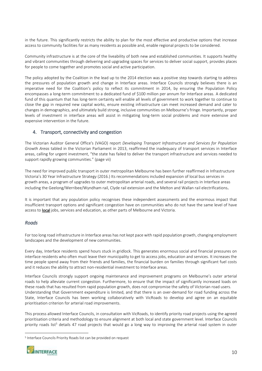in the future. This significantly restricts the ability to plan for the most effective and productive options that increase access to community facilities for as many residents as possible and, enable regional projects to be considered.

Community infrastructure is at the core of the liveability of both new and established communities. It supports healthy and vibrant communities through delivering and upgrading spaces for services to deliver social support, provides places for people to come together and promotes social and active participation.

The policy adopted by the Coalition in the lead up to the 2014 election was a positive step towards starting to address the pressures of population growth and change in Interface areas. Interface Councils strongly believes there is an imperative need for the Coalition's policy to reflect its commitment in 2014, by ensuring the Population Policy encompasses a long-term commitment to a dedicated fund of \$100 million per annum for Interface areas. A dedicated fund of this quantum that has long-term certainty will enable all levels of government to work together to continue to close the gap in required new capital works, ensure existing infrastructure can meet increased demand and cater to changes in demographics, and ultimately build strong, inclusive communities on Melbourne's fringe. Importantly, proper levels of investment in interface areas will assist in mitigating long-term social problems and more extensive and expensive intervention in the future.

#### <span id="page-9-0"></span>4. Transport, connectivity and congestion

The Victorian Auditor General Office's (VAGO) report *Developing Transport Infrastructure and Services for Population Growth Areas* tabled in the Victorian Parliament in 2013, reaffirmed the inadequacy of transport services in Interface areas, calling for urgent investment, "the state has failed to deliver the transport infrastructure and services needed to support rapidly growing communities." (page vii)

The need for improved public transport in outer metropolitan Melbourne has been further reaffirmed in Infrastructure Victoria's 30 Year Infrastructure Strategy (2016.) Its recommendations included expansion of local bus services in growth areas, a program of upgrades to outer metropolitan arterial roads, and several rail projects in Interface areas including the Geelong/Werribee/Wyndham rail, Clyde rail extension and the Melton and Wallan rail electrifications.

It is important that any population policy recognises these independent assessments and the enormous impact that insufficient transport options and significant congestion have on communities who do not have the same level of have access to local jobs, services and education, as other parts of Melbourne and Victoria.

#### *Roads*

For too long road infrastructure in Interface areas has not kept pace with rapid population growth, changing employment landscapes and the development of new communities.

Every day, Interface residents spend hours stuck in gridlock. This generates enormous social and financial pressures on interface residents who often must leave their municipality to get to access jobs, education and services. It increases the time people spend away from their friends and families, the financial burden on families through significant fuel costs and it reduces the ability to attract non-residential investment to Interface areas.

Interface Councils strongly support ongoing maintenance and improvement programs on Melbourne's outer arterial roads to help alleviate current congestion. Furthermore, to ensure that the impact of significantly increased loads on these roads that has resulted from rapid population growth, does not compromise the safety of Victorian road users. Understanding that Government expenditure is limited, and that there is an over-demand for road funding across the State, Interface Councils has been working collaboratively with VicRoads to develop and agree on an equitable prioritisation criterion for arterial road improvements.

This process allowed Interface Councils, in consultation with VicRoads, to identify priority road projects using the agreed prioritisation criteria and methodology to ensure alignment at both local and state government level. Interface Councils priority roads list<sup>5</sup> details 47 road projects that would go a long way to improving the arterial road system in outer

<sup>5</sup> Interface Councils Priority Roads list can be provided on request

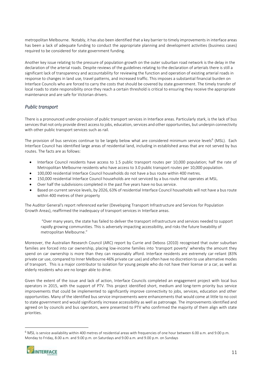metropolitan Melbourne. Notably, it has also been identified that a key barrier to timely improvements in interface areas has been a lack of adequate funding to conduct the appropriate planning and development activities (business cases) required to be considered for state government funding.

Another key issue relating to the pressure of population growth on the outer suburban road network is the delay in the declaration of the arterial roads. Despite reviews of the guidelines relating to the declaration of arterials there is still a significant lack of transparency and accountability for reviewing the function and operation of existing arterial roads in response to changes in land use, travel patterns, and increased traffic. This imposes a substantial financial burden on Interface Councils who are forced to carry the costs that should be covered by state government. The timely transfer of local roads to state responsibility once they reach a certain threshold is critical to ensuring they receive the appropriate maintenance and are safe for Victorian drivers.

#### *Public transport*

There is a pronounced under-provision of public transport services in Interface areas. Particularly stark, is the lack of bus services that not only provide direct access to jobs, education, services and other opportunities, but underpin connectivity with other public transport services such as rail.

The provision of bus services continue to be largely below what are considered minimum service levels<sup>6</sup> (MSL). Each Interface Council has identified large areas of residential land, including in established areas that are not served by bus routes. The facts are as follows:

- Interface Council residents have access to 1.5 public transport routes per 10,000 population; half the rate of Metropolitan Melbourne residents who have access to 3.0 public transport routes per 10,000 population.
- 100,000 residential Interface Council households do not have a bus route within 400 metres.
- 150,000 residential Interface Council households are not serviced by a bus route that operates at MSL.
- Over half the subdivisions completed in the past five years have no bus service.
- Based on current service levels, by 2026, 63% of residential Interface Council households will not have a bus route within 400 metres of their property

The Auditor General's report referenced earlier (Developing Transport Infrastructure and Services for Population Growth Areas), reaffirmed the inadequacy of transport services in Interface areas.

"Over many years, the state has failed to deliver the transport infrastructure and services needed to support rapidly growing communities. This is adversely impacting accessibility, and risks the future liveability of metropolitan Melbourne."

Moreover, the Australian Research Council (ARC) report by Currie and Deboss (2010) recognised that outer suburban families are forced into car ownership, placing low-income families into 'transport poverty' whereby the amount they spend on car ownership is more than they can reasonably afford. Interface residents are extremely car-reliant (83% private car use, compared to Inner Melbourne 46% private car use) and often have no discretion to use alternative modes of transport. This is a major contributor to isolation for young people who do not have their license or a car, as well as elderly residents who are no longer able to drive.

Given the extent of the issue and lack of action, Interface Councils completed an engagement project with local bus operators in 2015, with the support of PTV. This project identified short, medium and long-term priority bus service improvements that could be implemented to significantly improve connectivity to jobs, services, education and other opportunities. Many of the identified bus service improvements were enhancements that would come at little to no cost to state government and would significantly increase accessibility as well as patronage. The improvements identified and agreed on by councils and bus operators, were presented to PTV who confirmed the majority of them align with state priorities.

<sup>6</sup> MSL is service availability within 400 metres of residential areas with frequencies of one hour between 6.00 a.m. and 9.00 p.m. Monday to Friday, 8.00 a.m. and 9.00 p.m. on Saturdays and 9.00 a.m. and 9.00 p.m. on Sundays



<u>.</u>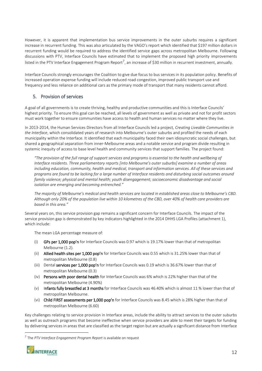However, it is apparent that implementation bus service improvements in the outer suburbs requires a significant increase in recurrent funding. This was also articulated by the VAGO's report which identified that \$197 million dollars in recurrent funding would be required to address the identified service gaps across metropolitan Melbourne. Following discussions with PTV, Interface Councils have estimated that to implement the proposed high priority improvements listed in the PTV Interface Engagement Program Report<sup>7</sup>, an increase of \$30 million in recurrent investment, annually.

Interface Councils strongly encourages the Coalition to give due focus to bus services in its population policy. Benefits of increased operation expense funding will include reduced road congestion, improved public transport use and frequency and less reliance on additional cars as the primary mode of transport that many residents cannot afford.

#### <span id="page-11-0"></span>5. Provision of services

A goal of all governments is to create thriving, healthy and productive communities and this is Interface Councils' highest priority. To ensure this goal can be reached, all levels of government as well as private and not for profit sectors must work together to ensure communities have access to health and human services no matter where they live.

In 2013-2014, the Human Services Directors from all Interface Councils led a project*, Creating Liveable Communities in the Interface*, which consolidated years of research into Melbourne's outer suburbs and profiled the needs of each municipality within the Interface. It identified that each municipality faced their own idiosyncratic social challenges, but shared a geographical separation from inner-Melbourne areas and a notable service and program divide resulting in systemic inequity of access to base level health and community services that support families. The project found:

*"The provision of the full range of support services and programs is essential to the health and wellbeing of Interface residents. Three parliamentary reports [into Melbourne's outer suburbs] examine a number of areas including education, community, health and medical, transport and information services. All of these services and programs are found to be lacking for a large number of Interface residents and disturbing social outcomes around family violence; physical and mental health; youth disengagement; socioeconomic disadvantage and social isolation are emerging and becoming entrenched."*

*The majority of Melbourne's medical and health services are located in established areas close to Melbourne's CBD. Although only 20% of the population live within 10 kilometres of the CBD, over 40% of health care providers are based in this area."*

Several years on, this service provision gap remains a significant concern for Interface Councils. The impact of the service provision gap is demonstrated by key indicators highlighted in the 2014 DHHS LGA Profiles (attachment 1), which include:

The mean LGA percentage measure of:

- GPs per 1,000 pop'n for Interface Councils was 0.97 which is 19.17% lower than that of metropolitan Melbourne (1.2).
- (ii) Allied health sites per 1,000 pop'n for Interface Councils was 0.55 which is 31.25% lower than that of metropolitan Melbourne (0.8)
- (iii) Dental services per 1,000 pop'n for Interface Councils was 0.19 which is 36.67% lower than that of metropolitan Melbourne (0.3)
- (iv) Persons with poor dental health for Interface Councils was 6% which is 22% higher than that of the metropolitan Melbourne (4.90%)
- (v) Infants fully breastfed at 3 months for Interface Councils was 46.40% which is almost 11 % lower than that of metropolitan Melbourne.
- (vi) Child FIRST assessments per 1,000 pop'n for Interface Councils was 8.45 which is 28% higher than that of metropolitan Melbourne (6.60)

Key challenges relating to service provision in Interface areas, include the ability to attract services to the outer suburbs as well as outreach programs that become ineffective when service providers are able to meet their targets for funding by delivering services in areas that are classified as the target region but are actually a significant distance from Interface

<sup>7</sup> The *PTV Interface Engagement Program Report* is available on request

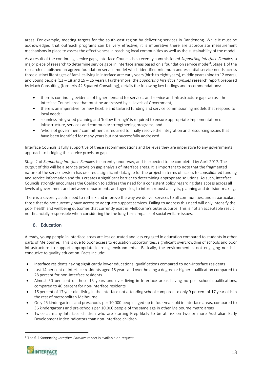areas. For example, meeting targets for the south-east region by delivering services in Dandenong. While it must be acknowledged that outreach programs can be very effective, it is imperative there are appropriate measurement mechanisms in place to assess the effectiveness in reaching local communities as well as the sustainability of the model.

As a result of the continuing service gaps, Interface Councils has recently commissioned *Supporting Interface Families,* a major piece of research to determine service gaps in interface areas based on a foundation service model<sup>8</sup>. Stage 1 of the research established an agreed foundation service model which identified minimum and essential service needs across three distinct life stages of families living in interface are: early years (birth to eight years), middle years (nine to 12 years), and young people (13 – 18 and 19 – 25 years). Furthermore, the *Supporting Interface Families* research report prepared by Mach Consulting (formerly 42 Squared Consulting), details the following key findings and recommendations:

- there is continuing evidence of higher demand for services and service and infrastructure gaps across the Interface Council area that must be addressed by all levels of Government;
- there is an imperative for new flexible and tailored funding and service commissioning models that respond to local needs;
- seamless integrated planning and 'follow through' is required to ensure appropriate implementation of infrastructure, services and community strengthening programs; and
- 'whole of government' commitment is required to finally resolve the integration and resourcing issues that have been identified for many years but not successfully addressed.

Interface Councils is fully supportive of these recommendations and believes they are imperative to any governments approach to bridging the service provision gap.

Stage 2 of *Supporting Interface Families* is currently underway, and is expected to be completed by April 2017. The output of this will be a service provision gap analysis of interface areas. It is important to note that the fragmented nature of the service system has created a significant data gap for the project in terms of access to consolidated funding and service information and thus creates a significant barrier to determining appropriate solutions. As such, Interface Councils strongly encourages the Coalition to address the need for a consistent policy regarding data access across all levels of government and between departments and agencies, to inform robust analysis, planning and decision-making.

There is a severely acute need to rethink and improve the way we deliver services to all communities, and in particular, those that do not currently have access to adequate support services. Failing to address this need will only intensify the poor health and wellbeing outcomes that currently exist in Melbourne's outer suburbs. This is not an acceptable result nor financially responsible when considering the the long-term impacts of social welfare issues.

#### <span id="page-12-0"></span>6. Education

Already, young people in Interface areas are less educated and less engaged in education compared to students in other parts of Melbourne. This is due to poor access to education opportunities, significant overcrowding of schools and poor infrastructure to support appropriate learning environments. Basically, the environment is not engaging nor is it conducive to quality education. Facts include:

- Interface residents having significantly lower educational qualifications compared to non-Interface residents
- Just 14 per cent of Interface residents aged 15 years and over holding a degree or higher qualification compared to 28 percent for non-Interface residents
- Almost 50 per cent of those 15 years and over living in Interface areas having no post-school qualifications, compared to 40 percent for non-Interface residents
- 16 percent of 17 year olds living in the Interface not attending school compared to only 9 percent of 17 year olds in the rest of metropolitan Melbourne
- Only 25 kindergartens and preschools per 10,000 people aged up to four years old in Interface areas, compared to 36 kindergartens and pre-schools per 10,000 people of the same age in other Melbourne metro areas
- Twice as many Interface children who are starting Prep likely to be at risk on two or more Australian Early Development Index indicators than non-Interface children

<sup>8</sup> The full *Supporting Interface Families* report is available on request.

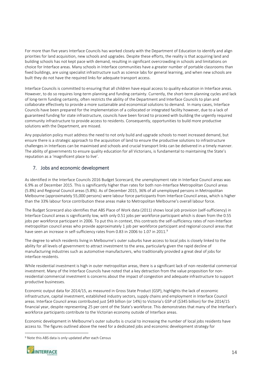For more than five years Interface Councils has worked closely with the Department of Education to identify and align priorities for land acquisition, new schools and upgrades. Despite these efforts, the reality is that acquiring land and building schools has not kept pace with demand, resulting in significant overcrowding in schools and limitations on choice for Interface areas. Many schools in Interface communities have a greater number of portable classrooms than fixed buildings, are using specialist infrastructure such as science labs for general learning, and when new schools are built they do not have the required links for adequate transport access.

Interface Councils is committed to ensuring that all children have equal access to quality education in Interface areas. However, to do so requires long-term planning and funding certainty. Currently, the short-term planning cycles and lack of long-term funding certainty, often restricts the ability of the Department and Interface Councils to plan and collaborate effectively to provide a more sustainable and economical solutions to demand. In many cases, Interface Councils have been prepared for the implementation of a collocated or integrated facility however, due to a lack of guaranteed funding for state infrastructure, councils have been forced to proceed with building the urgently required community infrastructure to provide access to residents. Consequently, opportunities to build more productive solutions with the Department, are missed.

Any population policy must address the need to not only build and upgrade schools to meet increased demand, but ensure there is a strategic approach to the acquisition of land to ensure the productive solutions to infrastructure challenges in Interfaces can be maximised and schools and crucial transport links can be delivered in a timely manner. The ability of governments to ensure quality education for all Victorians, is fundamental to maintaining the State's reputation as a 'magnificent place to live'.

#### <span id="page-13-0"></span>7. Jobs and economic development

As identified in the Interface Councils 2016 Budget Scorecard, the unemployment rate in Interface Council areas was 6.9% as of December 2015. This is significantly higher than rates for both non-Interface Metropolitan Council areas (5.8%) and Regional Council areas (5.8%). As of December 2015, 36% of all unemployed persons in Metropolitan Melbourne (approximately 55,000 persons) were labour force participants from Interface Council areas, which is higher than the 33% labour force contribution these areas make to Metropolitan Melbourne's overall labour force.

The Budget Scorecard also identifies that ABS Place of Work data (2011) shows local job provision (self-sufficiency) in Interface Council areas is significantly low, with only 0.51 jobs per workforce participant which is down from the 0.55 jobs per workforce participant in 2006. To put this in context, this contrasts the self-sufficiency rates of non-Interface metropolitan council areas who provide approximately 1 job per workforce participant and regional council areas that have seen an increase in self-sufficiency rates from 0.83 in 2006 to 1.07 in 2011.<sup>9</sup>

The degree to which residents living in Melbourne's outer suburbs have access to local jobs is closely linked to the ability for all levels of government to attract investment to the area, particularly given the rapid decline of manufacturing industries such as automotive manufacturers, who traditionally provided a great deal of jobs for interface residents.

While residential investment is high in outer metropolitan areas, there is a significant lack of non-residential commercial investment. Many of the Interface Councils have noted that a key detraction from the value proposition for nonresidential commercial investment is concerns about the impact of congestion and adequate infrastructure to support productive businesses.

Economic output data for 2014/15, as measured in Gross State Product (GSP), highlights the lack of economic infrastructure, capital investment, established industry sectors, supply chains and employment in Interface Council areas. Interface Council areas contributed just \$49 billion (or 14%) to Victoria's GSP of (\$345 billion) for the 2014/15 financial year, despite representing 25 per cent of the State's workforce. This demonstrates that many of the Interface's workforce participants contribute to the Victorian economy outside of Interface areas.

Economic development in Melbourne's outer suburbs is crucial to increasing the number of local jobs residents have access to. The figures outlined above the need for a dedicated jobs and economic development strategy for

<sup>9</sup> Note this ABS data is only updated after each Census

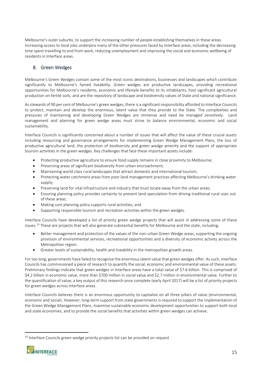Melbourne's outer suburbs, to support the increasing number of people establishing themselves in these areas. Increasing access to local jobs underpins many of the other pressures faced by Interface areas, including the decreasing time spent travelling to and from work, reducing unemployment and improving the social and economic wellbeing of residents in Interface areas.

#### <span id="page-14-0"></span>8. Green Wedges

Melbourne's Green Wedges contain some of the most iconic destinations, businesses and landscapes which contribute significantly to Melbourne's famed liveability. Green wedges are productive landscapes, providing recreational opportunities for Melbourne's residents, economic and lifestyle benefits to its inhabitants, host significant agricultural production on fertile soils, and are the repository of landscape and biodiversity values of State and national significance.

As stewards of 90 per cent of Melbourne's green wedges, there is a significant responsibility afforded to Interface Councils to protect, maintain and develop the enormous, latent value that they provide to the State. The complexities and pressures of maintaining and developing Green Wedges are immense and need be managed sensitively. Land management and planning for green wedge areas must strive to balance environmental, economic and social sustainability.

Interface Councils is significantly concerned about a number of issues that will affect the value of these crucial assets including resourcing and governance arrangements for implementing Green Wedge Management Plans, the loss of productive agricultural land, the protection of biodiversity and green wedge amenity and the support of appropriate tourism activities in the green wedges. Key challenges that face these important assets include:

- Protecting productive agriculture to ensure food supply remains in close proximity to Melbourne;
- Preserving areas of significant biodiversity from urban encroachment;
- Maintaining world class rural landscapes that attract domestic and international tourism;
- Protecting water catchment areas from poor land management practices affecting Melbourne's drinking water supply;
- Preserving land for vital infrastructure and industry that must locate away from the urban areas;
- Ensuring planning policy provides certainty to prevent land speculation from driving traditional rural uses out of these areas;
- Making sure planning policy supports rural activities; and
- Supporting responsible tourism and recreation activities within the green wedges.

Interface Councils have developed a list of priority green wedge projects that will assist in addressing some of these issues.<sup>10</sup> These are projects that will also generate substantial benefits for Melbourne and the state, including;

- Better management and protection of the values of the non-urban Green Wedge areas, supporting the ongoing provision of environmental services, recreational opportunities and a diversity of economic activity across the Metropolitan region.
- Greater levels of sustainability, health and liveability in the metropolitan growth areas.

For too long, governments have failed to recognise the enormous latent value that green wedges offer. As such, Interface Councils has commissioned a piece of research to quantify the social, economic and environmental value of these assets. Preliminary findings indicate that green wedges in Interface areas have a total value of \$7.6 billion. This is comprised of \$4.2 billion in economic value, more than \$700 million in social value and \$2.7 million in environmental value. Further to the quantification of value, a key output of this research once complete (early April 2017) will be a list of priority projects for green wedges across Interface areas.

Interface Councils believes there is an enormous opportunity to capitalise on all three pillars of value (environmental, economic and social). However, long-term support from state governments is required to support the implementation of the Green Wedge Management Plans, maximise sustainable economic development opportunities to support both local and state economies, and to provide the social benefits that activities within green wedges can achieve.

<sup>&</sup>lt;sup>10</sup> Interface Councils green wedge priority projects list can be provided on request



<u>.</u>